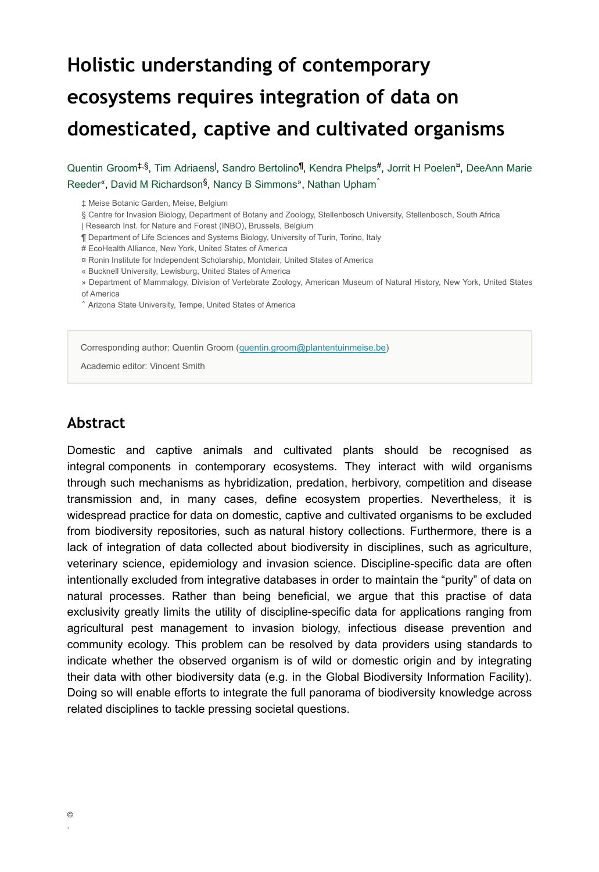# **Holistic understanding of contemporary ecosystems requires integration of data on domesticated, captive and cultivated organisms**

Quentin Groom<sup>‡,§</sup>, Tim Adriaens<sup>I</sup>, Sandro Bertolino<sup>¶</sup>, Kendra Phelps<sup>#</sup>, Jorrit H Poelen<sup>¤</sup>, DeeAnn Marie Reeder<sup>«</sup>, David M Richardson<sup>§</sup>, Nancy B Simmons», Nathan Upham<sup>^</sup>

‡ Meise Botanic Garden, Meise, Belgium

§ Centre for Invasion Biology, Department of Botany and Zoology, Stellenbosch University, Stellenbosch, South Africa

| Research Inst. for Nature and Forest (INBO), Brussels, Belgium

¶ Department of Life Sciences and Systems Biology, University of Turin, Torino, Italy

# EcoHealth Alliance, New York, United States of America

¤ Ronin Institute for Independent Scholarship, Montclair, United States of America

« Bucknell University, Lewisburg, United States of America

» Department of Mammalogy, Division of Vertebrate Zoology, American Museum of Natural History, New York, United States of America

˄ Arizona State University, Tempe, United States of America

Corresponding author: Quentin Groom ([quentin.groom@plantentuinmeise.be](mailto:quentin.groom@plantentuinmeise.be))

Academic editor: Vincent Smith

#### **Abstract**

Domestic and captive animals and cultivated plants should be recognised as integral components in contemporary ecosystems. They interact with wild organisms through such mechanisms as hybridization, predation, herbivory, competition and disease transmission and, in many cases, define ecosystem properties. Nevertheless, it is widespread practice for data on domestic, captive and cultivated organisms to be excluded from biodiversity repositories, such as natural history collections. Furthermore, there is a lack of integration of data collected about biodiversity in disciplines, such as agriculture, veterinary science, epidemiology and invasion science. Discipline-specific data are often intentionally excluded from integrative databases in order to maintain the "purity" of data on natural processes. Rather than being beneficial, we argue that this practise of data exclusivity greatly limits the utility of discipline-specific data for applications ranging from agricultural pest management to invasion biology, infectious disease prevention and community ecology. This problem can be resolved by data providers using standards to indicate whether the observed organism is of wild or domestic origin and by integrating their data with other biodiversity data (e.g. in the Global Biodiversity Information Facility). Doing so will enable efforts to integrate the full panorama of biodiversity knowledge across related disciplines to tackle pressing societal questions.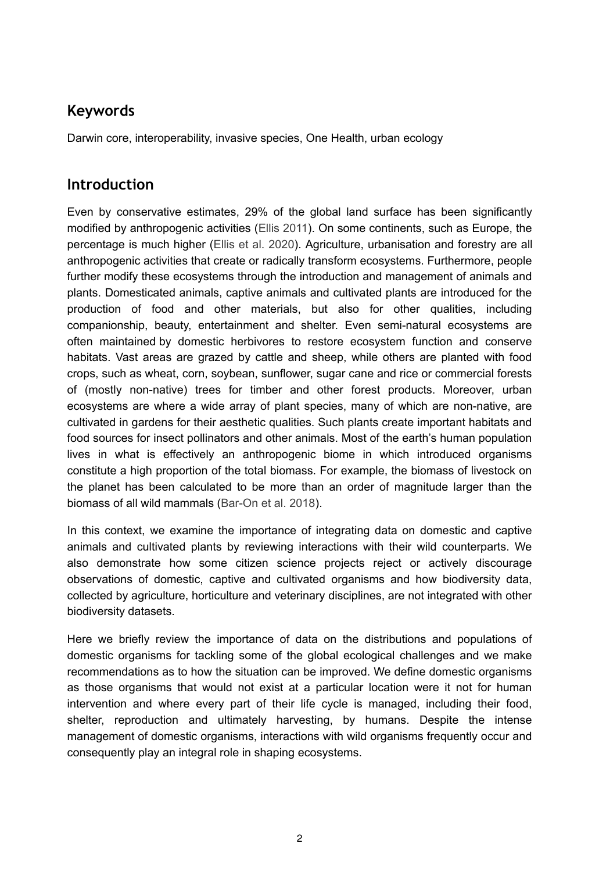# **Keywords**

Darwin core, interoperability, invasive species, One Health, urban ecology

## **Introduction**

Even by conservative estimates, 29% of the global land surface has been significantly modified by anthropogenic activities ([Ellis 2011](#page-11-0)). On some continents, such as Europe, the percentage is much higher ([Ellis et al. 2020\)](#page-11-1). Agriculture, urbanisation and forestry are all anthropogenic activities that create or radically transform ecosystems. Furthermore, people further modify these ecosystems through the introduction and management of animals and plants. Domesticated animals, captive animals and cultivated plants are introduced for the production of food and other materials, but also for other qualities, including companionship, beauty, entertainment and shelter. Even semi-natural ecosystems are often maintained by domestic herbivores to restore ecosystem function and conserve habitats. Vast areas are grazed by cattle and sheep, while others are planted with food crops, such as wheat, corn, soybean, sunflower, sugar cane and rice or commercial forests of (mostly non-native) trees for timber and other forest products. Moreover, urban ecosystems are where a wide array of plant species, many of which are non-native, are cultivated in gardens for their aesthetic qualities. Such plants create important habitats and food sources for insect pollinators and other animals. Most of the earth's human population lives in what is effectively an anthropogenic biome in which introduced organisms constitute a high proportion of the total biomass. For example, the biomass of livestock on the planet has been calculated to be more than an order of magnitude larger than the biomass of all wild mammals [\(Bar-On et al. 2018](#page-10-0)).

In this context, we examine the importance of integrating data on domestic and captive animals and cultivated plants by reviewing interactions with their wild counterparts. We also demonstrate how some citizen science projects reject or actively discourage observations of domestic, captive and cultivated organisms and how biodiversity data, collected by agriculture, horticulture and veterinary disciplines, are not integrated with other biodiversity datasets.

Here we briefly review the importance of data on the distributions and populations of domestic organisms for tackling some of the global ecological challenges and we make recommendations as to how the situation can be improved. We define domestic organisms as those organisms that would not exist at a particular location were it not for human intervention and where every part of their life cycle is managed, including their food, shelter, reproduction and ultimately harvesting, by humans. Despite the intense management of domestic organisms, interactions with wild organisms frequently occur and consequently play an integral role in shaping ecosystems.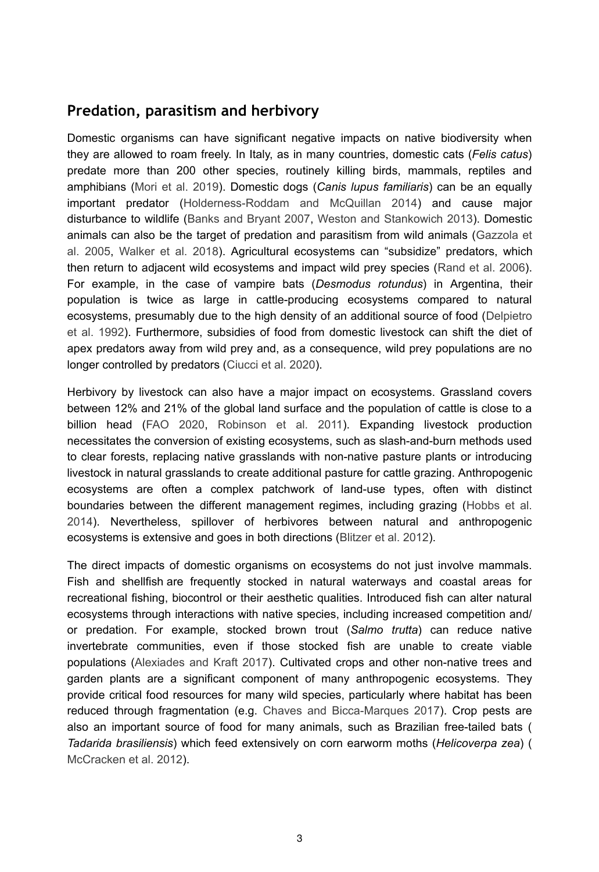#### **Predation, parasitism and herbivory**

Domestic organisms can have significant negative impacts on native biodiversity when they are allowed to roam freely. In Italy, as in many countries, domestic cats (*Felis catus*) predate more than 200 other species, routinely killing birds, mammals, reptiles and amphibians [\(Mori et al. 2019\)](#page-14-0). Domestic dogs (*Canis lupus familiaris*) can be an equally important predator [\(Holderness-Roddam and McQuillan 2014\)](#page-12-0) and cause major disturbance to wildlife [\(Banks and Bryant 2007](#page-10-1), [Weston and Stankowich 2013](#page-16-0)). Domestic animals can also be the target of predation and parasitism from wild animals [\(Gazzola et](#page-12-1) [al. 2005](#page-12-1), [Walker et al. 2018\)](#page-16-1). Agricultural ecosystems can "subsidize" predators, which then return to adjacent wild ecosystems and impact wild prey species ([Rand et al. 2006\)](#page-15-0). For example, in the case of vampire bats (*Desmodus rotundus*) in Argentina, their population is twice as large in cattle-producing ecosystems compared to natural ecosystems, presumably due to the high density of an additional source of food [\(Delpietro](#page-11-2) [et al. 1992\)](#page-11-2). Furthermore, subsidies of food from domestic livestock can shift the diet of apex predators away from wild prey and, as a consequence, wild prey populations are no longer controlled by predators ([Ciucci et al. 2020](#page-10-2)).

Herbivory by livestock can also have a major impact on ecosystems. Grassland covers between 12% and 21% of the global land surface and the population of cattle is close to a billion head ([FAO 2020,](#page-11-3) [Robinson et al. 2011\)](#page-15-1). Expanding livestock production necessitates the conversion of existing ecosystems, such as slash-and-burn methods used to clear forests, replacing native grasslands with non-native pasture plants or introducing livestock in natural grasslands to create additional pasture for cattle grazing. Anthropogenic ecosystems are often a complex patchwork of land-use types, often with distinct boundaries between the different management regimes, including grazing ([Hobbs et al.](#page-12-2) [2014](#page-12-2)). Nevertheless, spillover of herbivores between natural and anthropogenic ecosystems is extensive and goes in both directions ([Blitzer et al. 2012\)](#page-10-3).

The direct impacts of domestic organisms on ecosystems do not just involve mammals. Fish and shellfish are frequently stocked in natural waterways and coastal areas for recreational fishing, biocontrol or their aesthetic qualities. Introduced fish can alter natural ecosystems through interactions with native species, including increased competition and/ or predation. For example, stocked brown trout (*Salmo trutta*) can reduce native invertebrate communities, even if those stocked fish are unable to create viable populations [\(Alexiades and Kraft 2017](#page-9-0)). Cultivated crops and other non-native trees and garden plants are a significant component of many anthropogenic ecosystems. They provide critical food resources for many wild species, particularly where habitat has been reduced through fragmentation (e.g. [Chaves and Bicca-Marques 2017](#page-10-4)). Crop pests are also an important source of food for many animals, such as Brazilian free-tailed bats ( *Tadarida brasiliensis*) which feed extensively on corn earworm moths (*Helicoverpa zea*) ( [McCracken et al. 2012](#page-13-0)).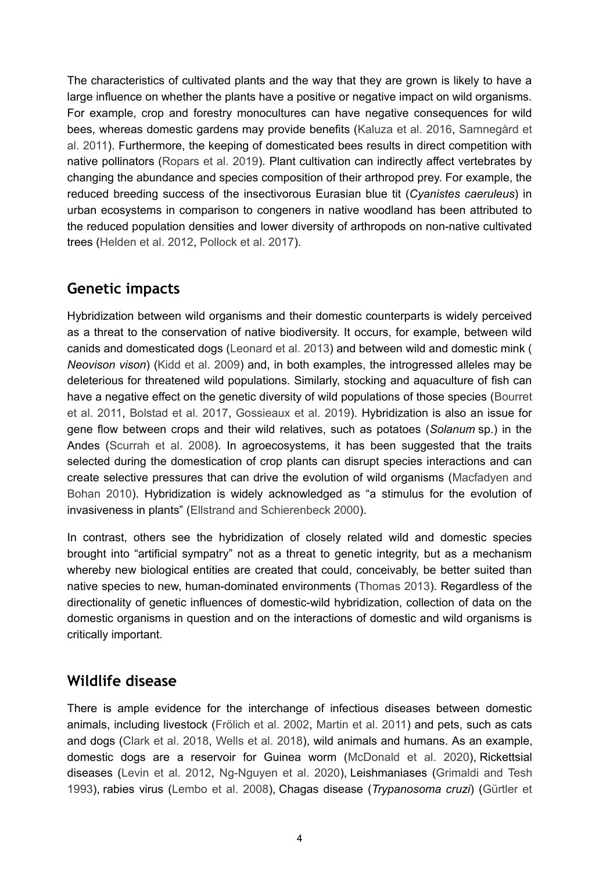The characteristics of cultivated plants and the way that they are grown is likely to have a large influence on whether the plants have a positive or negative impact on wild organisms. For example, crop and forestry monocultures can have negative consequences for wild bees, whereas domestic gardens may provide benefits [\(Kaluza et al. 2016,](#page-13-1) [Samnegård et](#page-15-2) [al. 2011](#page-15-2)). Furthermore, the keeping of domesticated bees results in direct competition with native pollinators ([Ropars et al. 2019\)](#page-15-3). Plant cultivation can indirectly affect vertebrates by changing the abundance and species composition of their arthropod prey. For example, the reduced breeding success of the insectivorous Eurasian blue tit (*Cyanistes caeruleus*) in urban ecosystems in comparison to congeners in native woodland has been attributed to the reduced population densities and lower diversity of arthropods on non-native cultivated trees ([Helden et al. 2012](#page-12-3), [Pollock et al. 2017\)](#page-14-1).

# **Genetic impacts**

Hybridization between wild organisms and their domestic counterparts is widely perceived as a threat to the conservation of native biodiversity. It occurs, for example, between wild canids and domesticated dogs ([Leonard et al. 2013](#page-13-2)) and between wild and domestic mink ( *Neovison vison*) [\(Kidd et al. 2009](#page-13-3)) and, in both examples, the introgressed alleles may be deleterious for threatened wild populations. Similarly, stocking and aquaculture of fish can have a negative effect on the genetic diversity of wild populations of those species ([Bourret](#page-10-5) [et al. 2011](#page-10-5), [Bolstad et al. 2017](#page-10-6), [Gossieaux et al. 2019](#page-12-4)). Hybridization is also an issue for gene flow between crops and their wild relatives, such as potatoes (*Solanum* sp.) in the Andes [\(Scurrah et al. 2008](#page-15-4)). In agroecosystems, it has been suggested that the traits selected during the domestication of crop plants can disrupt species interactions and can create selective pressures that can drive the evolution of wild organisms ([Macfadyen and](#page-13-4) [Bohan 2010\)](#page-13-4). Hybridization is widely acknowledged as "a stimulus for the evolution of invasiveness in plants" [\(Ellstrand and Schierenbeck 2000\)](#page-11-4).

In contrast, others see the hybridization of closely related wild and domestic species brought into "artificial sympatry" not as a threat to genetic integrity, but as a mechanism whereby new biological entities are created that could, conceivably, be better suited than native species to new, human-dominated environments ([Thomas 2013](#page-16-2)). Regardless of the directionality of genetic influences of domestic-wild hybridization, collection of data on the domestic organisms in question and on the interactions of domestic and wild organisms is critically important.

# **Wildlife disease**

There is ample evidence for the interchange of infectious diseases between domestic animals, including livestock [\(Frölich et al. 2002](#page-11-5), [Martin et al. 2011](#page-13-5)) and pets, such as cats and dogs ([Clark et al. 2018,](#page-11-6) [Wells et al. 2018](#page-16-3)), wild animals and humans. As an example, domestic dogs are a reservoir for Guinea worm [\(McDonald et al. 2020](#page-13-6)), Rickettsial diseases ([Levin et al. 2012,](#page-13-7) [Ng-Nguyen et al. 2020](#page-14-2)), Leishmaniases [\(Grimaldi and Tesh](#page-12-5) [1993](#page-12-5)), rabies virus [\(Lembo et al. 2008\)](#page-13-8), Chagas disease (*Trypanosoma cruzi*) ([Gürtler et](#page-12-6)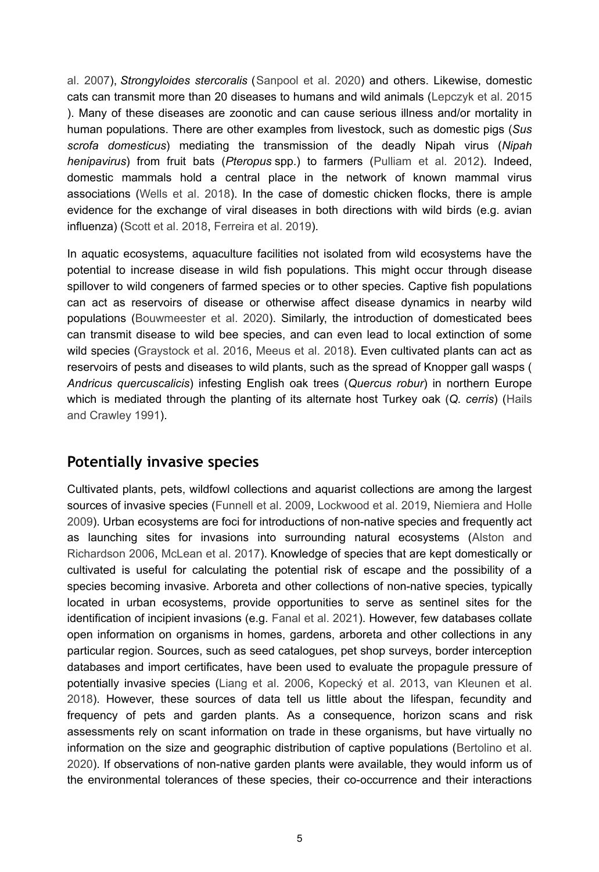[al. 2007\)](#page-12-6), *Strongyloides stercoralis* ([Sanpool et al. 2020](#page-15-5)) and others. Likewise, domestic cats can transmit more than 20 diseases to humans and wild animals ([Lepczyk et al. 2015](#page-13-9) ). Many of these diseases are zoonotic and can cause serious illness and/or mortality in human populations. There are other examples from livestock, such as domestic pigs (*Sus scrofa domesticus*) mediating the transmission of the deadly Nipah virus (*Nipah henipavirus*) from fruit bats (*Pteropus* spp.) to farmers ([Pulliam et al. 2012](#page-15-6)). Indeed, domestic mammals hold a central place in the network of known mammal virus associations ([Wells et al. 2018\)](#page-16-3). In the case of domestic chicken flocks, there is ample evidence for the exchange of viral diseases in both directions with wild birds (e.g. avian influenza) ([Scott et al. 2018](#page-15-7), [Ferreira et al. 2019](#page-11-7)).

In aquatic ecosystems, aquaculture facilities not isolated from wild ecosystems have the potential to increase disease in wild fish populations. This might occur through disease spillover to wild congeners of farmed species or to other species. Captive fish populations can act as reservoirs of disease or otherwise affect disease dynamics in nearby wild populations ([Bouwmeester et al. 2020\)](#page-10-7). Similarly, the introduction of domesticated bees can transmit disease to wild bee species, and can even lead to local extinction of some wild species ([Graystock et al. 2016](#page-12-7), [Meeus et al. 2018\)](#page-14-3). Even cultivated plants can act as reservoirs of pests and diseases to wild plants, such as the spread of Knopper gall wasps ( *Andricus quercuscalicis*) infesting English oak trees (*Quercus robur*) in northern Europe which is mediated through the planting of its alternate host Turkey oak (*Q. cerris*) [\(Hails](#page-12-8) [and Crawley 1991\)](#page-12-8).

### **Potentially invasive species**

Cultivated plants, pets, wildfowl collections and aquarist collections are among the largest sources of invasive species [\(Funnell et al. 2009,](#page-11-8) [Lockwood et al. 2019](#page-13-10), [Niemiera and Holle](#page-14-4) [2009](#page-14-4)). Urban ecosystems are foci for introductions of non-native species and frequently act as launching sites for invasions into surrounding natural ecosystems [\(Alston and](#page-9-1) [Richardson 2006,](#page-9-1) [McLean et al. 2017](#page-14-5)). Knowledge of species that are kept domestically or cultivated is useful for calculating the potential risk of escape and the possibility of a species becoming invasive. Arboreta and other collections of non-native species, typically located in urban ecosystems, provide opportunities to serve as sentinel sites for the identification of incipient invasions (e.g. [Fanal et al. 2021\)](#page-11-9). However, few databases collate open information on organisms in homes, gardens, arboreta and other collections in any particular region. Sources, such as seed catalogues, pet shop surveys, border interception databases and import certificates, have been used to evaluate the propagule pressure of potentially invasive species ([Liang et al. 2006](#page-13-11), [Kopecký et al. 2013](#page-13-12), [van Kleunen et al.](#page-16-4) [2018](#page-16-4)). However, these sources of data tell us little about the lifespan, fecundity and frequency of pets and garden plants. As a consequence, horizon scans and risk assessments rely on scant information on trade in these organisms, but have virtually no information on the size and geographic distribution of captive populations [\(Bertolino et al.](#page-10-8) [2020](#page-10-8)). If observations of non-native garden plants were available, they would inform us of the environmental tolerances of these species, their co-occurrence and their interactions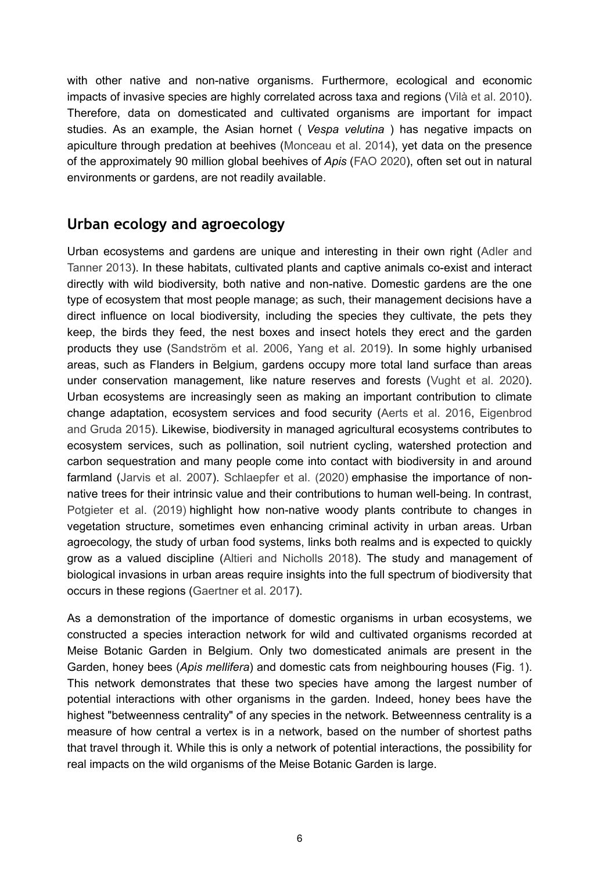with other native and non-native organisms. Furthermore, ecological and economic impacts of invasive species are highly correlated across taxa and regions ([Vilà et al. 2010\)](#page-16-5). Therefore, data on domesticated and cultivated organisms are important for impact studies. As an example, the Asian hornet ( *Vespa velutina* ) has negative impacts on apiculture through predation at beehives ([Monceau et al. 2014](#page-14-6)), yet data on the presence of the approximately 90 million global beehives of *Apis* ([FAO 2020\)](#page-11-3), often set out in natural environments or gardens, are not readily available.

# **Urban ecology and agroecology**

Urban ecosystems and gardens are unique and interesting in their own right [\(Adler and](#page-9-2) [Tanner 2013\)](#page-9-2). In these habitats, cultivated plants and captive animals co-exist and interact directly with wild biodiversity, both native and non-native. Domestic gardens are the one type of ecosystem that most people manage; as such, their management decisions have a direct influence on local biodiversity, including the species they cultivate, the pets they keep, the birds they feed, the nest boxes and insect hotels they erect and the garden products they use [\(Sandström et al. 2006,](#page-15-8) [Yang et al. 2019](#page-16-6)). In some highly urbanised areas, such as Flanders in Belgium, gardens occupy more total land surface than areas under conservation management, like nature reserves and forests ([Vught et al. 2020\)](#page-16-7). Urban ecosystems are increasingly seen as making an important contribution to climate change adaptation, ecosystem services and food security [\(Aerts et al. 2016,](#page-9-3) [Eigenbrod](#page-11-10) [and Gruda 2015](#page-11-10)). Likewise, biodiversity in managed agricultural ecosystems contributes to ecosystem services, such as pollination, soil nutrient cycling, watershed protection and carbon sequestration and many people come into contact with biodiversity in and around farmland [\(Jarvis et al. 2007\)](#page-13-13). [Schlaepfer et al. \(2020\)](#page-15-9) emphasise the importance of nonnative trees for their intrinsic value and their contributions to human well-being. In contrast, [Potgieter et al. \(2019\)](#page-15-10) highlight how non-native woody plants contribute to changes in vegetation structure, sometimes even enhancing criminal activity in urban areas. Urban agroecology, the study of urban food systems, links both realms and is expected to quickly grow as a valued discipline [\(Altieri and Nicholls 2018](#page-9-4)). The study and management of biological invasions in urban areas require insights into the full spectrum of biodiversity that occurs in these regions [\(Gaertner et al. 2017\)](#page-11-11).

As a demonstration of the importance of domestic organisms in urban ecosystems, we constructed a species interaction network for wild and cultivated organisms recorded at Meise Botanic Garden in Belgium. Only two domesticated animals are present in the Garden, honey bees (*Apis mellifera*) and domestic cats from neighbouring houses (Fig. [1\)](#page-18-0). This network demonstrates that these two species have among the largest number of potential interactions with other organisms in the garden. Indeed, honey bees have the highest "betweenness centrality" of any species in the network. Betweenness centrality is a measure of how central a vertex is in a network, based on the number of shortest paths that travel through it. While this is only a network of potential interactions, the possibility for real impacts on the wild organisms of the Meise Botanic Garden is large.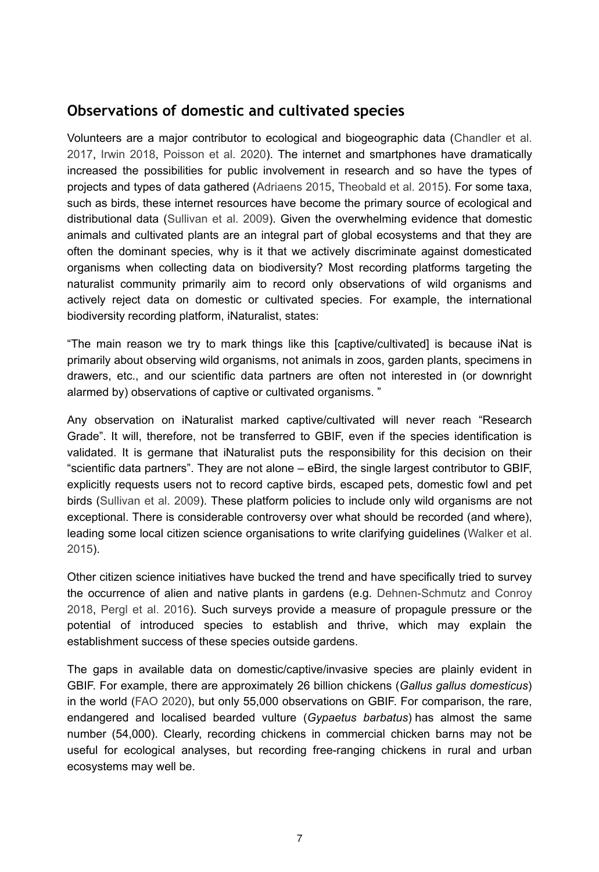#### **Observations of domestic and cultivated species**

Volunteers are a major contributor to ecological and biogeographic data [\(Chandler et al.](#page-10-9) [2017](#page-10-9), [Irwin 2018](#page-12-9), [Poisson et al. 2020\)](#page-14-7). The internet and smartphones have dramatically increased the possibilities for public involvement in research and so have the types of projects and types of data gathered [\(Adriaens 2015,](#page-9-5) [Theobald et al. 2015\)](#page-15-11). For some taxa, such as birds, these internet resources have become the primary source of ecological and distributional data ([Sullivan et al. 2009\)](#page-15-12). Given the overwhelming evidence that domestic animals and cultivated plants are an integral part of global ecosystems and that they are often the dominant species, why is it that we actively discriminate against domesticated organisms when collecting data on biodiversity? Most recording platforms targeting the naturalist community primarily aim to record only observations of wild organisms and actively reject data on domestic or cultivated species. For example, the international biodiversity recording platform, iNaturalist, states:

"The main reason we try to mark things like this [captive/cultivated] is because iNat is primarily about observing wild organisms, not animals in zoos, garden plants, specimens in drawers, etc., and our scientific data partners are often not interested in (or downright alarmed by) observations of captive or cultivated organisms. "

Any observation on iNaturalist marked captive/cultivated will never reach "Research Grade". It will, therefore, not be transferred to GBIF, even if the species identification is validated. It is germane that iNaturalist puts the responsibility for this decision on their "scientific data partners". They are not alone – eBird, the single largest contributor to GBIF, explicitly requests users not to record captive birds, escaped pets, domestic fowl and pet birds [\(Sullivan et al. 2009](#page-15-12)). These platform policies to include only wild organisms are not exceptional. There is considerable controversy over what should be recorded (and where), leading some local citizen science organisations to write clarifying guidelines ([Walker et al.](#page-16-8) [2015](#page-16-8)).

Other citizen science initiatives have bucked the trend and have specifically tried to survey the occurrence of alien and native plants in gardens (e.g. [Dehnen-Schmutz and Conroy](#page-11-12) [2018](#page-11-12), [Pergl et al. 2016](#page-14-8)). Such surveys provide a measure of propagule pressure or the potential of introduced species to establish and thrive, which may explain the establishment success of these species outside gardens.

The gaps in available data on domestic/captive/invasive species are plainly evident in GBIF. For example, there are approximately 26 billion chickens (*Gallus gallus domesticus*) in the world [\(FAO 2020](#page-11-3)), but only 55,000 observations on GBIF. For comparison, the rare, endangered and localised bearded vulture (*Gypaetus barbatus*) has almost the same number (54,000). Clearly, recording chickens in commercial chicken barns may not be useful for ecological analyses, but recording free-ranging chickens in rural and urban ecosystems may well be.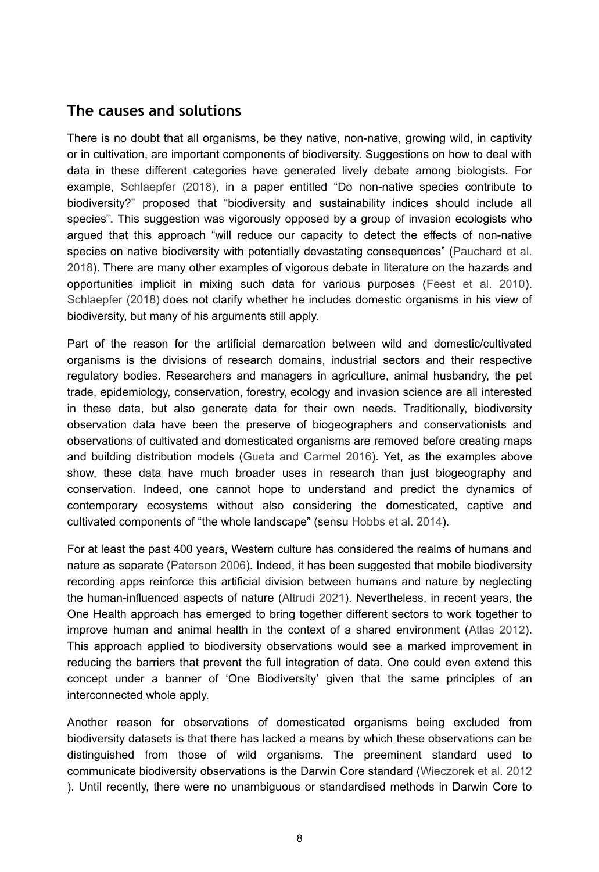#### **The causes and solutions**

There is no doubt that all organisms, be they native, non-native, growing wild, in captivity or in cultivation, are important components of biodiversity. Suggestions on how to deal with data in these different categories have generated lively debate among biologists. For example, [Schlaepfer \(2018\)](#page-15-13), in a paper entitled "Do non-native species contribute to biodiversity?" proposed that "biodiversity and sustainability indices should include all species". This suggestion was vigorously opposed by a group of invasion ecologists who argued that this approach "will reduce our capacity to detect the effects of non-native species on native biodiversity with potentially devastating consequences" ([Pauchard et al.](#page-14-9) [2018](#page-14-9)). There are many other examples of vigorous debate in literature on the hazards and opportunities implicit in mixing such data for various purposes ([Feest et al. 2010\)](#page-11-13). [Schlaepfer \(2018\)](#page-15-13) does not clarify whether he includes domestic organisms in his view of biodiversity, but many of his arguments still apply.

Part of the reason for the artificial demarcation between wild and domestic/cultivated organisms is the divisions of research domains, industrial sectors and their respective regulatory bodies. Researchers and managers in agriculture, animal husbandry, the pet trade, epidemiology, conservation, forestry, ecology and invasion science are all interested in these data, but also generate data for their own needs. Traditionally, biodiversity observation data have been the preserve of biogeographers and conservationists and observations of cultivated and domesticated organisms are removed before creating maps and building distribution models ([Gueta and Carmel 2016](#page-12-10)). Yet, as the examples above show, these data have much broader uses in research than just biogeography and conservation. Indeed, one cannot hope to understand and predict the dynamics of contemporary ecosystems without also considering the domesticated, captive and cultivated components of "the whole landscape" (sensu [Hobbs et al. 2014](#page-12-2)).

For at least the past 400 years, Western culture has considered the realms of humans and nature as separate [\(Paterson 2006\)](#page-14-10). Indeed, it has been suggested that mobile biodiversity recording apps reinforce this artificial division between humans and nature by neglecting the human-influenced aspects of nature [\(Altrudi 2021](#page-10-10)). Nevertheless, in recent years, the One Health approach has emerged to bring together different sectors to work together to improve human and animal health in the context of a shared environment ([Atlas 2012\)](#page-10-11). This approach applied to biodiversity observations would see a marked improvement in reducing the barriers that prevent the full integration of data. One could even extend this concept under a banner of 'One Biodiversity' given that the same principles of an interconnected whole apply.

Another reason for observations of domesticated organisms being excluded from biodiversity datasets is that there has lacked a means by which these observations can be distinguished from those of wild organisms. The preeminent standard used to communicate biodiversity observations is the Darwin Core standard ([Wieczorek et al. 2012](#page-16-9) ). Until recently, there were no unambiguous or standardised methods in Darwin Core to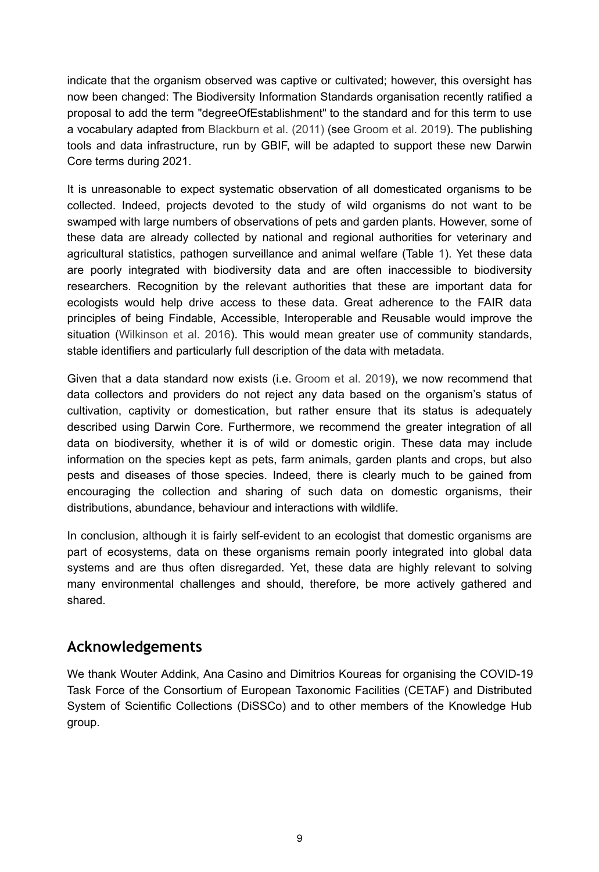indicate that the organism observed was captive or cultivated; however, this oversight has now been changed: The Biodiversity Information Standards organisation recently ratified a proposal to add the term "degreeOfEstablishment" to the standard and for this term to use a vocabulary adapted from [Blackburn et al. \(2011\)](#page-10-12) (see [Groom et al. 2019](#page-12-11)). The publishing tools and data infrastructure, run by GBIF, will be adapted to support these new Darwin Core terms during 2021.

It is unreasonable to expect systematic observation of all domesticated organisms to be collected. Indeed, projects devoted to the study of wild organisms do not want to be swamped with large numbers of observations of pets and garden plants. However, some of these data are already collected by national and regional authorities for veterinary and agricultural statistics, pathogen surveillance and animal welfare (Table [1](#page-19-0)). Yet these data are poorly integrated with biodiversity data and are often inaccessible to biodiversity researchers. Recognition by the relevant authorities that these are important data for ecologists would help drive access to these data. Great adherence to the FAIR data principles of being Findable, Accessible, Interoperable and Reusable would improve the situation ([Wilkinson et al. 2016\)](#page-16-10). This would mean greater use of community standards, stable identifiers and particularly full description of the data with metadata.

Given that a data standard now exists (i.e. [Groom et al. 2019](#page-12-11)), we now recommend that data collectors and providers do not reject any data based on the organism's status of cultivation, captivity or domestication, but rather ensure that its status is adequately described using Darwin Core. Furthermore, we recommend the greater integration of all data on biodiversity, whether it is of wild or domestic origin. These data may include information on the species kept as pets, farm animals, garden plants and crops, but also pests and diseases of those species. Indeed, there is clearly much to be gained from encouraging the collection and sharing of such data on domestic organisms, their distributions, abundance, behaviour and interactions with wildlife.

In conclusion, although it is fairly self-evident to an ecologist that domestic organisms are part of ecosystems, data on these organisms remain poorly integrated into global data systems and are thus often disregarded. Yet, these data are highly relevant to solving many environmental challenges and should, therefore, be more actively gathered and shared.

### **Acknowledgements**

We thank Wouter Addink, Ana Casino and Dimitrios Koureas for organising the COVID-19 Task Force of the Consortium of European Taxonomic Facilities (CETAF) and Distributed System of Scientific Collections (DiSSCo) and to other members of the Knowledge Hub group.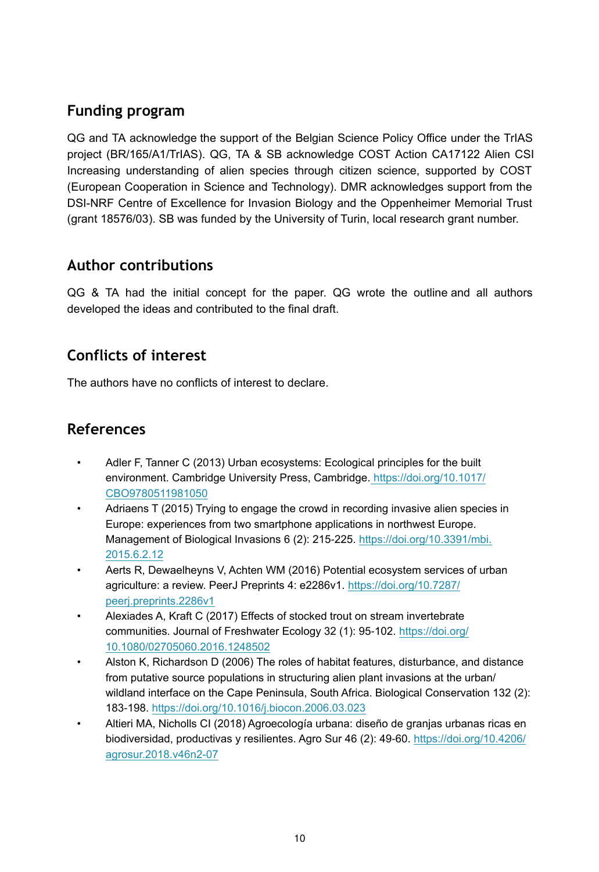# **Funding program**

QG and TA acknowledge the support of the Belgian Science Policy Office under the TrIAS project (BR/165/A1/TrIAS). QG, TA & SB acknowledge COST Action CA17122 Alien CSI Increasing understanding of alien species through citizen science, supported by COST (European Cooperation in Science and Technology). DMR acknowledges support from the DSI-NRF Centre of Excellence for Invasion Biology and the Oppenheimer Memorial Trust (grant 18576/03). SB was funded by the University of Turin, local research grant number.

### **Author contributions**

QG & TA had the initial concept for the paper. QG wrote the outline and all authors developed the ideas and contributed to the final draft.

# **Conflicts of interest**

The authors have no conflicts of interest to declare.

# **References**

- <span id="page-9-2"></span>• Adler F, Tanner C (2013) Urban ecosystems: Ecological principles for the built environment. Cambridge University Press, Cambridge[. https://doi.org/10.1017/](https://doi.org/10.1017/CBO9780511981050) [CBO9780511981050](https://doi.org/10.1017/CBO9780511981050)
- <span id="page-9-5"></span>Adriaens T (2015) Trying to engage the crowd in recording invasive alien species in Europe: experiences from two smartphone applications in northwest Europe. Management of Biological Invasions 6 (2): 215-225. [https://doi.org/10.3391/mbi.](https://doi.org/10.3391/mbi.2015.6.2.12) [2015.6.2.12](https://doi.org/10.3391/mbi.2015.6.2.12)
- <span id="page-9-3"></span>• Aerts R, Dewaelheyns V, Achten WM (2016) Potential ecosystem services of urban agriculture: a review. PeerJ Preprints 4: e2286v1. [https://doi.org/10.7287/](https://doi.org/10.7287/peerj.preprints.2286v1) [peerj.preprints.2286v1](https://doi.org/10.7287/peerj.preprints.2286v1)
- <span id="page-9-0"></span>• Alexiades A, Kraft C (2017) Effects of stocked trout on stream invertebrate communities. Journal of Freshwater Ecology 32 (1): 95-102. [https://doi.org/](https://doi.org/10.1080/02705060.2016.1248502) [10.1080/02705060.2016.1248502](https://doi.org/10.1080/02705060.2016.1248502)
- <span id="page-9-1"></span>• Alston K, Richardson D (2006) The roles of habitat features, disturbance, and distance from putative source populations in structuring alien plant invasions at the urban/ wildland interface on the Cape Peninsula, South Africa. Biological Conservation 132 (2): 183‑198. <https://doi.org/10.1016/j.biocon.2006.03.023>
- <span id="page-9-4"></span>• Altieri MA, Nicholls CI (2018) Agroecología urbana: diseño de granjas urbanas ricas en biodiversidad, productivas y resilientes. Agro Sur 46 (2): 49‑60. [https://doi.org/10.4206/](https://doi.org/10.4206/agrosur.2018.v46n2-07) [agrosur.2018.v46n2-07](https://doi.org/10.4206/agrosur.2018.v46n2-07)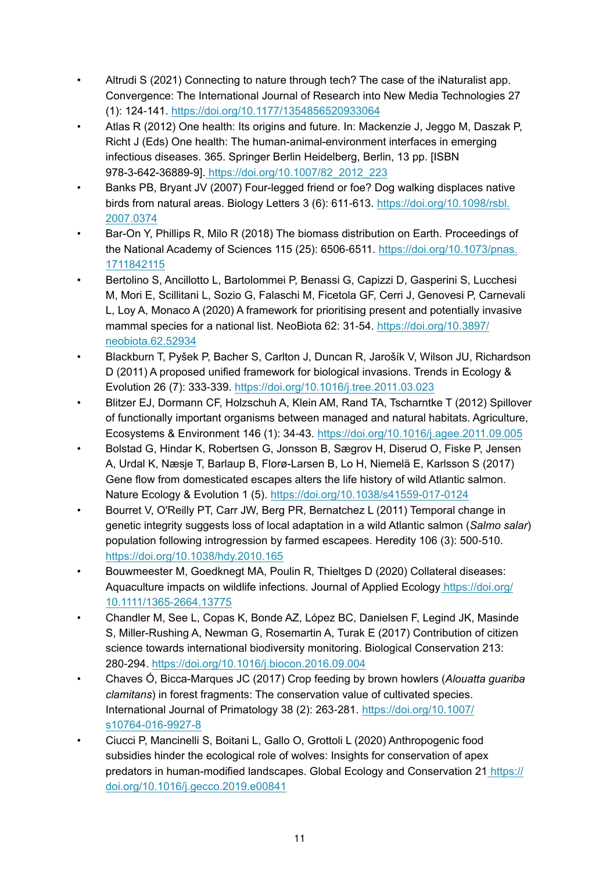- <span id="page-10-10"></span>• Altrudi S (2021) Connecting to nature through tech? The case of the iNaturalist app. Convergence: The International Journal of Research into New Media Technologies 27 (1): 124‑141. <https://doi.org/10.1177/1354856520933064>
- <span id="page-10-11"></span>• Atlas R (2012) One health: Its origins and future. In: Mackenzie J, Jeggo M, Daszak P, Richt J (Eds) One health: The human-animal-environment interfaces in emerging infectious diseases. 365. Springer Berlin Heidelberg, Berlin, 13 pp. [ISBN 978-3-642-36889-9][. https://doi.org/10.1007/82\\_2012\\_223](https://doi.org/10.1007/82_2012_223)
- <span id="page-10-1"></span>• Banks PB, Bryant JV (2007) Four-legged friend or foe? Dog walking displaces native birds from natural areas. Biology Letters 3 (6): 611-613. [https://doi.org/10.1098/rsbl.](https://doi.org/10.1098/rsbl.2007.0374) [2007.0374](https://doi.org/10.1098/rsbl.2007.0374)
- <span id="page-10-0"></span>• Bar-On Y, Phillips R, Milo R (2018) The biomass distribution on Earth. Proceedings of the National Academy of Sciences 115 (25): 6506‑6511. [https://doi.org/10.1073/pnas.](https://doi.org/10.1073/pnas.1711842115) [1711842115](https://doi.org/10.1073/pnas.1711842115)
- <span id="page-10-8"></span>• Bertolino S, Ancillotto L, Bartolommei P, Benassi G, Capizzi D, Gasperini S, Lucchesi M, Mori E, Scillitani L, Sozio G, Falaschi M, Ficetola GF, Cerri J, Genovesi P, Carnevali L, Loy A, Monaco A (2020) A framework for prioritising present and potentially invasive mammal species for a national list. NeoBiota 62: 31-54. [https://doi.org/10.3897/](https://doi.org/10.3897/neobiota.62.52934) [neobiota.62.52934](https://doi.org/10.3897/neobiota.62.52934)
- <span id="page-10-12"></span>• Blackburn T, Pyšek P, Bacher S, Carlton J, Duncan R, Jarošík V, Wilson JU, Richardson D (2011) A proposed unified framework for biological invasions. Trends in Ecology & Evolution 26 (7): 333‑339.<https://doi.org/10.1016/j.tree.2011.03.023>
- <span id="page-10-3"></span>• Blitzer EJ, Dormann CF, Holzschuh A, Klein AM, Rand TA, Tscharntke T (2012) Spillover of functionally important organisms between managed and natural habitats. Agriculture, Ecosystems & Environment 146 (1): 34‑43. <https://doi.org/10.1016/j.agee.2011.09.005>
- <span id="page-10-6"></span>• Bolstad G, Hindar K, Robertsen G, Jonsson B, Sægrov H, Diserud O, Fiske P, Jensen A, Urdal K, Næsje T, Barlaup B, Florø-Larsen B, Lo H, Niemelä E, Karlsson S (2017) Gene flow from domesticated escapes alters the life history of wild Atlantic salmon. Nature Ecology & Evolution 1 (5).<https://doi.org/10.1038/s41559-017-0124>
- <span id="page-10-5"></span>• Bourret V, O'Reilly PT, Carr JW, Berg PR, Bernatchez L (2011) Temporal change in genetic integrity suggests loss of local adaptation in a wild Atlantic salmon (*Salmo salar*) population following introgression by farmed escapees. Heredity 106 (3): 500-510. <https://doi.org/10.1038/hdy.2010.165>
- <span id="page-10-7"></span>• Bouwmeester M, Goedknegt MA, Poulin R, Thieltges D (2020) Collateral diseases: Aquaculture impacts on wildlife infections. Journal of Applied Ecology [https://doi.org/](https://doi.org/10.1111/1365-2664.13775) [10.1111/1365-2664.13775](https://doi.org/10.1111/1365-2664.13775)
- <span id="page-10-9"></span>• Chandler M, See L, Copas K, Bonde AZ, López BC, Danielsen F, Legind JK, Masinde S, Miller-Rushing A, Newman G, Rosemartin A, Turak E (2017) Contribution of citizen science towards international biodiversity monitoring. Biological Conservation 213: 280‑294. <https://doi.org/10.1016/j.biocon.2016.09.004>
- <span id="page-10-4"></span>• Chaves Ó, Bicca-Marques JC (2017) Crop feeding by brown howlers (*Alouatta guariba clamitans*) in forest fragments: The conservation value of cultivated species. International Journal of Primatology 38 (2): 263‑281. [https://doi.org/10.1007/](https://doi.org/10.1007/s10764-016-9927-8) [s10764-016-9927-8](https://doi.org/10.1007/s10764-016-9927-8)
- <span id="page-10-2"></span>• Ciucci P, Mancinelli S, Boitani L, Gallo O, Grottoli L (2020) Anthropogenic food subsidies hinder the ecological role of wolves: Insights for conservation of apex predators in human-modified landscapes. Global Ecology and Conservation 2[1 https://](https://doi.org/10.1016/j.gecco.2019.e00841) [doi.org/10.1016/j.gecco.2019.e00841](https://doi.org/10.1016/j.gecco.2019.e00841)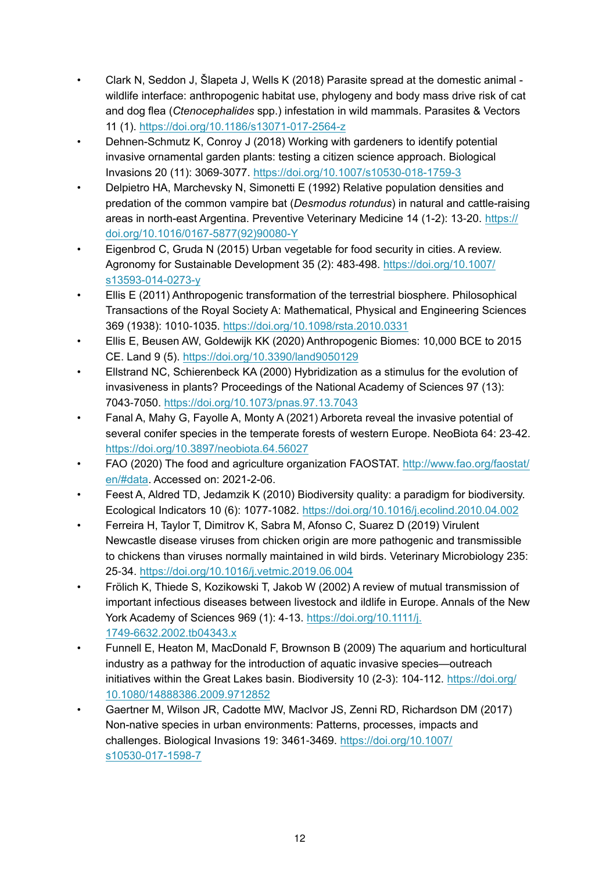- <span id="page-11-6"></span>• Clark N, Seddon J, Šlapeta J, Wells K (2018) Parasite spread at the domestic animal wildlife interface: anthropogenic habitat use, phylogeny and body mass drive risk of cat and dog flea (*Ctenocephalides* spp.) infestation in wild mammals. Parasites & Vectors 11 (1). <https://doi.org/10.1186/s13071-017-2564-z>
- <span id="page-11-12"></span>• Dehnen-Schmutz K, Conroy J (2018) Working with gardeners to identify potential invasive ornamental garden plants: testing a citizen science approach. Biological Invasions 20 (11): 3069‑3077. <https://doi.org/10.1007/s10530-018-1759-3>
- <span id="page-11-2"></span>• Delpietro HA, Marchevsky N, Simonetti E (1992) Relative population densities and predation of the common vampire bat (*Desmodus rotundus*) in natural and cattle-raising areas in north-east Argentina. Preventive Veterinary Medicine 14 (1-2): 13‑20. [https://](https://doi.org/10.1016/0167-5877(92)90080-Y) [doi.org/10.1016/0167-5877\(92\)90080-Y](https://doi.org/10.1016/0167-5877(92)90080-Y)
- <span id="page-11-10"></span>• Eigenbrod C, Gruda N (2015) Urban vegetable for food security in cities. A review. Agronomy for Sustainable Development 35 (2): 483‑498. [https://doi.org/10.1007/](https://doi.org/10.1007/s13593-014-0273-y) [s13593-014-0273-y](https://doi.org/10.1007/s13593-014-0273-y)
- <span id="page-11-0"></span>• Ellis E (2011) Anthropogenic transformation of the terrestrial biosphere. Philosophical Transactions of the Royal Society A: Mathematical, Physical and Engineering Sciences 369 (1938): 1010‑1035.<https://doi.org/10.1098/rsta.2010.0331>
- <span id="page-11-1"></span>• Ellis E, Beusen AW, Goldewijk KK (2020) Anthropogenic Biomes: 10,000 BCE to 2015 CE. Land 9 (5). <https://doi.org/10.3390/land9050129>
- <span id="page-11-4"></span>• Ellstrand NC, Schierenbeck KA (2000) Hybridization as a stimulus for the evolution of invasiveness in plants? Proceedings of the National Academy of Sciences 97 (13): 7043‑7050.<https://doi.org/10.1073/pnas.97.13.7043>
- <span id="page-11-9"></span>• Fanal A, Mahy G, Fayolle A, Monty A (2021) Arboreta reveal the invasive potential of several conifer species in the temperate forests of western Europe. NeoBiota 64: 23-42. <https://doi.org/10.3897/neobiota.64.56027>
- <span id="page-11-3"></span>• FAO (2020) The food and agriculture organization FAOSTAT. [http://www.fao.org/faostat/](http://www.fao.org/faostat/en/#data) [en/#data.](http://www.fao.org/faostat/en/#data) Accessed on: 2021-2-06.
- <span id="page-11-13"></span>Feest A, Aldred TD, Jedamzik K (2010) Biodiversity quality: a paradigm for biodiversity. Ecological Indicators 10 (6): 1077‑1082. <https://doi.org/10.1016/j.ecolind.2010.04.002>
- <span id="page-11-7"></span>• Ferreira H, Taylor T, Dimitrov K, Sabra M, Afonso C, Suarez D (2019) Virulent Newcastle disease viruses from chicken origin are more pathogenic and transmissible to chickens than viruses normally maintained in wild birds. Veterinary Microbiology 235: 25‑34.<https://doi.org/10.1016/j.vetmic.2019.06.004>
- <span id="page-11-5"></span>• Frölich K, Thiede S, Kozikowski T, Jakob W (2002) A review of mutual transmission of important infectious diseases between livestock and ildlife in Europe. Annals of the New York Academy of Sciences 969 (1): 4‑13. [https://doi.org/10.1111/j.](https://doi.org/10.1111/j.1749-6632.2002.tb04343.x) [1749-6632.2002.tb04343.x](https://doi.org/10.1111/j.1749-6632.2002.tb04343.x)
- <span id="page-11-8"></span>• Funnell E, Heaton M, MacDonald F, Brownson B (2009) The aquarium and horticultural industry as a pathway for the introduction of aquatic invasive species—outreach initiatives within the Great Lakes basin. Biodiversity 10 (2-3): 104‑112. [https://doi.org/](https://doi.org/10.1080/14888386.2009.9712852) [10.1080/14888386.2009.9712852](https://doi.org/10.1080/14888386.2009.9712852)
- <span id="page-11-11"></span>• Gaertner M, Wilson JR, Cadotte MW, MacIvor JS, Zenni RD, Richardson DM (2017) Non-native species in urban environments: Patterns, processes, impacts and challenges. Biological Invasions 19: 3461‑3469. [https://doi.org/10.1007/](https://doi.org/10.1007/s10530-017-1598-7) [s10530-017-1598-7](https://doi.org/10.1007/s10530-017-1598-7)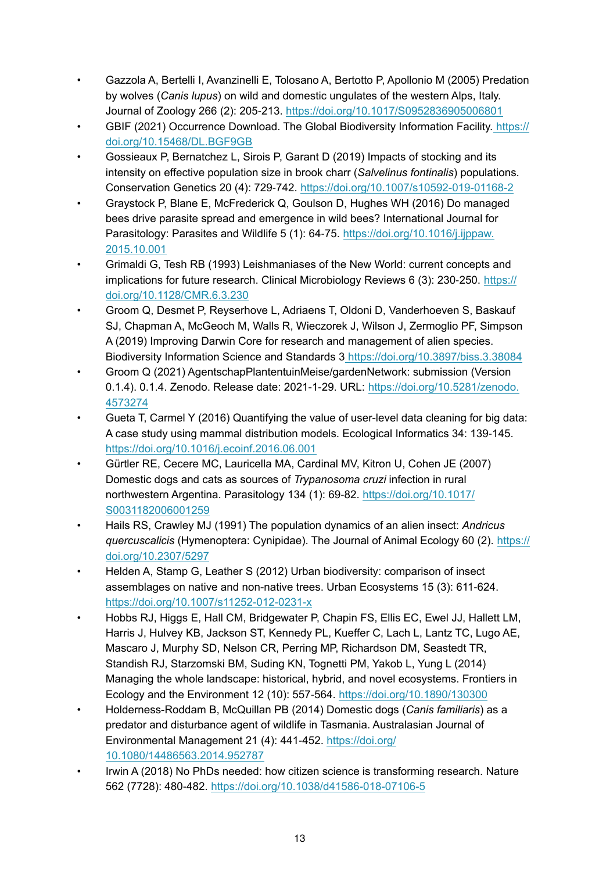- <span id="page-12-1"></span>• Gazzola A, Bertelli I, Avanzinelli E, Tolosano A, Bertotto P, Apollonio M (2005) Predation by wolves (*Canis lupus*) on wild and domestic ungulates of the western Alps, Italy. Journal of Zoology 266 (2): 205‑213.<https://doi.org/10.1017/S0952836905006801>
- <span id="page-12-12"></span>• GBIF (2021) Occurrence Download. The Global Biodiversity Information Facility. [https://](https://doi.org/10.15468/DL.BGF9GB) [doi.org/10.15468/DL.BGF9GB](https://doi.org/10.15468/DL.BGF9GB)
- <span id="page-12-4"></span>• Gossieaux P, Bernatchez L, Sirois P, Garant D (2019) Impacts of stocking and its intensity on effective population size in brook charr (*Salvelinus fontinalis*) populations. Conservation Genetics 20 (4): 729‑742. <https://doi.org/10.1007/s10592-019-01168-2>
- <span id="page-12-7"></span>• Graystock P, Blane E, McFrederick Q, Goulson D, Hughes WH (2016) Do managed bees drive parasite spread and emergence in wild bees? International Journal for Parasitology: Parasites and Wildlife 5 (1): 64-75. [https://doi.org/10.1016/j.ijppaw.](https://doi.org/10.1016/j.ijppaw.2015.10.001) [2015.10.001](https://doi.org/10.1016/j.ijppaw.2015.10.001)
- <span id="page-12-5"></span>• Grimaldi G, Tesh RB (1993) Leishmaniases of the New World: current concepts and implications for future research. Clinical Microbiology Reviews 6 (3): 230-250. [https://](https://doi.org/10.1128/CMR.6.3.230) [doi.org/10.1128/CMR.6.3.230](https://doi.org/10.1128/CMR.6.3.230)
- <span id="page-12-11"></span>• Groom Q, Desmet P, Reyserhove L, Adriaens T, Oldoni D, Vanderhoeven S, Baskauf SJ, Chapman A, McGeoch M, Walls R, Wieczorek J, Wilson J, Zermoglio PF, Simpson A (2019) Improving Darwin Core for research and management of alien species. Biodiversity Information Science and Standards [3 https://doi.org/10.3897/biss.3.38084](https://doi.org/10.3897/biss.3.38084)
- <span id="page-12-13"></span>• Groom Q (2021) AgentschapPlantentuinMeise/gardenNetwork: submission (Version 0.1.4). 0.1.4. Zenodo. Release date: 2021-1-29. URL: [https://doi.org/10.5281/zenodo.](https://doi.org/10.5281/zenodo.4573274) [4573274](https://doi.org/10.5281/zenodo.4573274)
- <span id="page-12-10"></span>• Gueta T, Carmel Y (2016) Quantifying the value of user-level data cleaning for big data: A case study using mammal distribution models. Ecological Informatics 34: 139-145. <https://doi.org/10.1016/j.ecoinf.2016.06.001>
- <span id="page-12-6"></span>• Gürtler RE, Cecere MC, Lauricella MA, Cardinal MV, Kitron U, Cohen JE (2007) Domestic dogs and cats as sources of *Trypanosoma cruzi* infection in rural northwestern Argentina. Parasitology 134 (1): 69‑82. [https://doi.org/10.1017/](https://doi.org/10.1017/S0031182006001259) [S0031182006001259](https://doi.org/10.1017/S0031182006001259)
- <span id="page-12-8"></span>• Hails RS, Crawley MJ (1991) The population dynamics of an alien insect: *Andricus quercuscalicis* (Hymenoptera: Cynipidae). The Journal of Animal Ecology 60 (2). [https://](https://doi.org/10.2307/5297) [doi.org/10.2307/5297](https://doi.org/10.2307/5297)
- <span id="page-12-3"></span>• Helden A, Stamp G, Leather S (2012) Urban biodiversity: comparison of insect assemblages on native and non-native trees. Urban Ecosystems 15 (3): 611‑624. <https://doi.org/10.1007/s11252-012-0231-x>
- <span id="page-12-2"></span>• Hobbs RJ, Higgs E, Hall CM, Bridgewater P, Chapin FS, Ellis EC, Ewel JJ, Hallett LM, Harris J, Hulvey KB, Jackson ST, Kennedy PL, Kueffer C, Lach L, Lantz TC, Lugo AE, Mascaro J, Murphy SD, Nelson CR, Perring MP, Richardson DM, Seastedt TR, Standish RJ, Starzomski BM, Suding KN, Tognetti PM, Yakob L, Yung L (2014) Managing the whole landscape: historical, hybrid, and novel ecosystems. Frontiers in Ecology and the Environment 12 (10): 557‑564.<https://doi.org/10.1890/130300>
- <span id="page-12-0"></span>• Holderness-Roddam B, McQuillan PB (2014) Domestic dogs (*Canis familiaris*) as a predator and disturbance agent of wildlife in Tasmania. Australasian Journal of Environmental Management 21 (4): 441‑452. [https://doi.org/](https://doi.org/10.1080/14486563.2014.952787) [10.1080/14486563.2014.952787](https://doi.org/10.1080/14486563.2014.952787)
- <span id="page-12-9"></span>• Irwin A (2018) No PhDs needed: how citizen science is transforming research. Nature 562 (7728): 480‑482. <https://doi.org/10.1038/d41586-018-07106-5>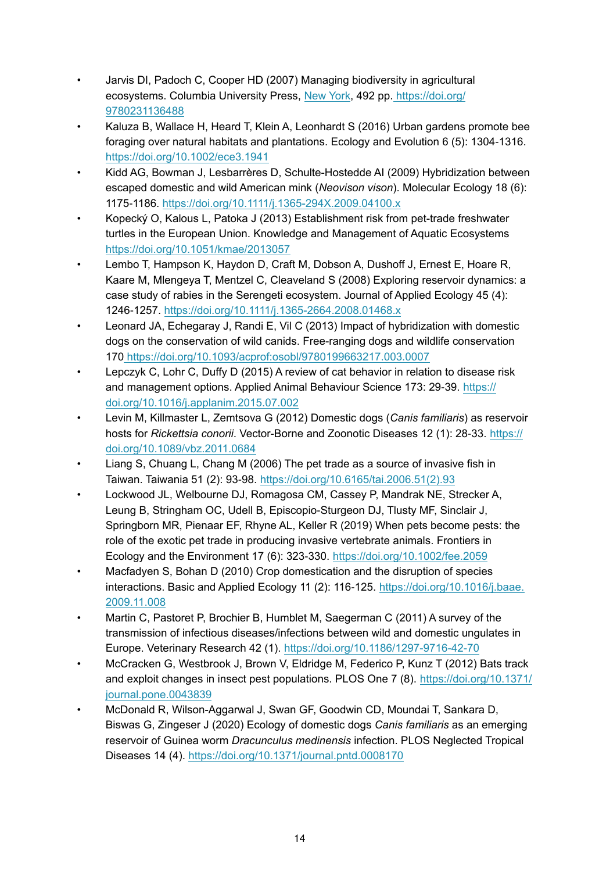- <span id="page-13-13"></span>• Jarvis DI, Padoch C, Cooper HD (2007) Managing biodiversity in agricultural ecosystems. Columbia University Press, [New York](https://www.google.com/search?rlz=1C1GCEA_enBE839BE839&q=New+York&stick=H4sIAAAAAAAAAOPgE-LUz9U3MDM1KDRUAjON4o0szLSMMsqt9JPzc3JSk0sy8_P084vSE_MyqxJBnGKrjNTElMLSxKKS1KJihZz8ZLDwIlYOv9Ryhcj8ouwdrIwAsV-841oAAAA&sa=X&ved=2ahUKEwjj0KzC2NXuAhWN16QKHfWAAlIQmxMoATAaegQIGhAD), 492 pp. [https://doi.org/](https://doi.org/9780231136488) [9780231136488](https://doi.org/9780231136488)
- <span id="page-13-1"></span>• Kaluza B, Wallace H, Heard T, Klein A, Leonhardt S (2016) Urban gardens promote bee foraging over natural habitats and plantations. Ecology and Evolution 6 (5): 1304-1316. <https://doi.org/10.1002/ece3.1941>
- <span id="page-13-3"></span>• Kidd AG, Bowman J, Lesbarrères D, Schulte-Hostedde AI (2009) Hybridization between escaped domestic and wild American mink (*Neovison vison*). Molecular Ecology 18 (6): 1175‑1186. <https://doi.org/10.1111/j.1365-294X.2009.04100.x>
- <span id="page-13-12"></span>• Kopecký O, Kalous L, Patoka J (2013) Establishment risk from pet-trade freshwater turtles in the European Union. Knowledge and Management of Aquatic Ecosystems <https://doi.org/10.1051/kmae/2013057>
- <span id="page-13-8"></span>• Lembo T, Hampson K, Haydon D, Craft M, Dobson A, Dushoff J, Ernest E, Hoare R, Kaare M, Mlengeya T, Mentzel C, Cleaveland S (2008) Exploring reservoir dynamics: a case study of rabies in the Serengeti ecosystem. Journal of Applied Ecology 45 (4): 1246‑1257.<https://doi.org/10.1111/j.1365-2664.2008.01468.x>
- <span id="page-13-2"></span>• Leonard JA, Echegaray J, Randi E, Vil C (2013) Impact of hybridization with domestic dogs on the conservation of wild canids. Free-ranging dogs and wildlife conservation 170<https://doi.org/10.1093/acprof:osobl/9780199663217.003.0007>
- <span id="page-13-9"></span>• Lepczyk C, Lohr C, Duffy D (2015) A review of cat behavior in relation to disease risk and management options. Applied Animal Behaviour Science 173: 29-39. [https://](https://doi.org/10.1016/j.applanim.2015.07.002) [doi.org/10.1016/j.applanim.2015.07.002](https://doi.org/10.1016/j.applanim.2015.07.002)
- <span id="page-13-7"></span>• Levin M, Killmaster L, Zemtsova G (2012) Domestic dogs (*Canis familiaris*) as reservoir hosts for *Rickettsia conorii*. Vector-Borne and Zoonotic Diseases 12 (1): 28‑33. [https://](https://doi.org/10.1089/vbz.2011.0684) [doi.org/10.1089/vbz.2011.0684](https://doi.org/10.1089/vbz.2011.0684)
- <span id="page-13-11"></span>• Liang S, Chuang L, Chang M (2006) The pet trade as a source of invasive fish in Taiwan. Taiwania 51 (2): 93‑98. [https://doi.org/10.6165/tai.2006.51\(2\).93](https://doi.org/10.6165/tai.2006.51(2).93)
- <span id="page-13-10"></span>• Lockwood JL, Welbourne DJ, Romagosa CM, Cassey P, Mandrak NE, Strecker A, Leung B, Stringham OC, Udell B, Episcopio‐Sturgeon DJ, Tlusty MF, Sinclair J, Springborn MR, Pienaar EF, Rhyne AL, Keller R (2019) When pets become pests: the role of the exotic pet trade in producing invasive vertebrate animals. Frontiers in Ecology and the Environment 17 (6): 323‑330. <https://doi.org/10.1002/fee.2059>
- <span id="page-13-4"></span>• Macfadyen S, Bohan D (2010) Crop domestication and the disruption of species interactions. Basic and Applied Ecology 11 (2): 116‑125. [https://doi.org/10.1016/j.baae.](https://doi.org/10.1016/j.baae.2009.11.008) [2009.11.008](https://doi.org/10.1016/j.baae.2009.11.008)
- <span id="page-13-5"></span>• Martin C, Pastoret P, Brochier B, Humblet M, Saegerman C (2011) A survey of the transmission of infectious diseases/infections between wild and domestic ungulates in Europe. Veterinary Research 42 (1). <https://doi.org/10.1186/1297-9716-42-70>
- <span id="page-13-0"></span>• McCracken G, Westbrook J, Brown V, Eldridge M, Federico P, Kunz T (2012) Bats track and exploit changes in insect pest populations. PLOS One 7 (8). [https://doi.org/10.1371/](https://doi.org/10.1371/journal.pone.0043839) [journal.pone.0043839](https://doi.org/10.1371/journal.pone.0043839)
- <span id="page-13-6"></span>• McDonald R, Wilson-Aggarwal J, Swan GF, Goodwin CD, Moundai T, Sankara D, Biswas G, Zingeser J (2020) Ecology of domestic dogs *Canis familiaris* as an emerging reservoir of Guinea worm *Dracunculus medinensis* infection. PLOS Neglected Tropical Diseases 14 (4).<https://doi.org/10.1371/journal.pntd.0008170>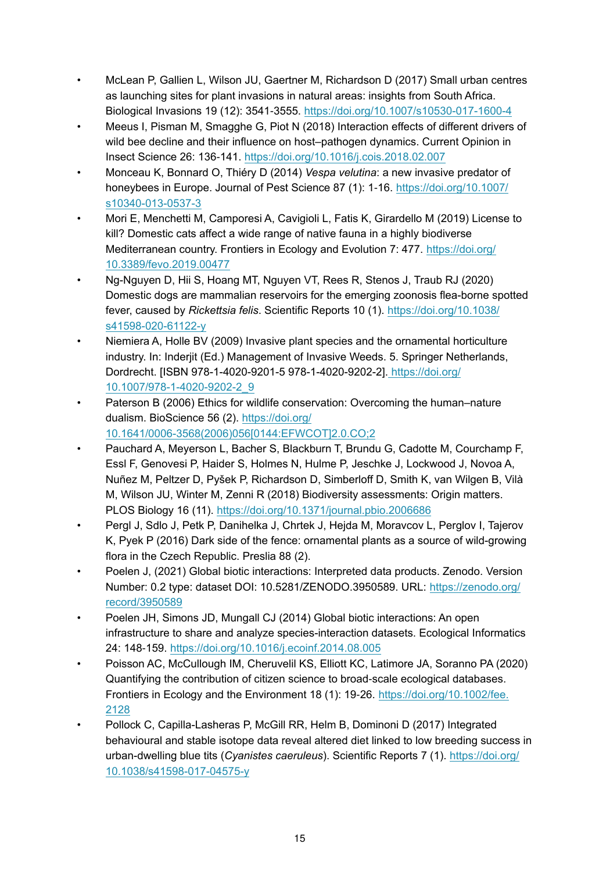- <span id="page-14-5"></span>• McLean P, Gallien L, Wilson JU, Gaertner M, Richardson D (2017) Small urban centres as launching sites for plant invasions in natural areas: insights from South Africa. Biological Invasions 19 (12): 3541‑3555.<https://doi.org/10.1007/s10530-017-1600-4>
- <span id="page-14-3"></span>• Meeus I, Pisman M, Smagghe G, Piot N (2018) Interaction effects of different drivers of wild bee decline and their influence on host–pathogen dynamics. Current Opinion in Insect Science 26: 136‑141. <https://doi.org/10.1016/j.cois.2018.02.007>
- <span id="page-14-6"></span>• Monceau K, Bonnard O, Thiéry D (2014) *Vespa velutina*: a new invasive predator of honeybees in Europe. Journal of Pest Science 87 (1): 1-16. [https://doi.org/10.1007/](https://doi.org/10.1007/s10340-013-0537-3) [s10340-013-0537-3](https://doi.org/10.1007/s10340-013-0537-3)
- <span id="page-14-0"></span>• Mori E, Menchetti M, Camporesi A, Cavigioli L, Fatis K, Girardello M (2019) License to kill? Domestic cats affect a wide range of native fauna in a highly biodiverse Mediterranean country. Frontiers in Ecology and Evolution 7: 477. [https://doi.org/](https://doi.org/10.3389/fevo.2019.00477) [10.3389/fevo.2019.00477](https://doi.org/10.3389/fevo.2019.00477)
- <span id="page-14-2"></span>• Ng-Nguyen D, Hii S, Hoang MT, Nguyen VT, Rees R, Stenos J, Traub RJ (2020) Domestic dogs are mammalian reservoirs for the emerging zoonosis flea-borne spotted fever, caused by *Rickettsia felis*. Scientific Reports 10 (1). [https://doi.org/10.1038/](https://doi.org/10.1038/s41598-020-61122-y) [s41598-020-61122-y](https://doi.org/10.1038/s41598-020-61122-y)
- <span id="page-14-4"></span>• Niemiera A, Holle BV (2009) Invasive plant species and the ornamental horticulture industry. In: Inderjit (Ed.) Management of Invasive Weeds. 5. Springer Netherlands, Dordrecht. [ISBN 978-1-4020-9201-5 978-1-4020-9202-2]. [https://doi.org/](https://doi.org/10.1007/978-1-4020-9202-2_9) [10.1007/978-1-4020-9202-2\\_9](https://doi.org/10.1007/978-1-4020-9202-2_9)
- <span id="page-14-10"></span>• Paterson B (2006) Ethics for wildlife conservation: Overcoming the human–nature dualism. BioScience 56 (2). [https://doi.org/](https://doi.org/10.1641/0006-3568(2006)056%5B0144:EFWCOT%5D2.0.CO;2) [10.1641/0006-3568\(2006\)056\[0144:EFWCOT\]2.0.CO;2](https://doi.org/10.1641/0006-3568(2006)056%5B0144:EFWCOT%5D2.0.CO;2)
- <span id="page-14-9"></span>• Pauchard A, Meyerson L, Bacher S, Blackburn T, Brundu G, Cadotte M, Courchamp F, Essl F, Genovesi P, Haider S, Holmes N, Hulme P, Jeschke J, Lockwood J, Novoa A, Nuñez M, Peltzer D, Pyšek P, Richardson D, Simberloff D, Smith K, van Wilgen B, Vilà M, Wilson JU, Winter M, Zenni R (2018) Biodiversity assessments: Origin matters. PLOS Biology 16 (11).<https://doi.org/10.1371/journal.pbio.2006686>
- <span id="page-14-8"></span>• Pergl J, Sdlo J, Petk P, Danihelka J, Chrtek J, Hejda M, Moravcov L, Perglov I, Tajerov K, Pyek P (2016) Dark side of the fence: ornamental plants as a source of wild-growing flora in the Czech Republic. Preslia 88 (2).
- <span id="page-14-11"></span>• Poelen J, (2021) Global biotic interactions: Interpreted data products. Zenodo. Version Number: 0.2 type: dataset DOI: 10.5281/ZENODO.3950589. URL: [https://zenodo.org/](https://zenodo.org/record/3950589) [record/3950589](https://zenodo.org/record/3950589)
- <span id="page-14-12"></span>• Poelen JH, Simons JD, Mungall CJ (2014) Global biotic interactions: An open infrastructure to share and analyze species-interaction datasets. Ecological Informatics 24: 148‑159. <https://doi.org/10.1016/j.ecoinf.2014.08.005>
- <span id="page-14-7"></span>• Poisson AC, McCullough IM, Cheruvelil KS, Elliott KC, Latimore JA, Soranno PA (2020) Quantifying the contribution of citizen science to broad‐scale ecological databases. Frontiers in Ecology and the Environment 18 (1): 19‑26. [https://doi.org/10.1002/fee.](https://doi.org/10.1002/fee.2128) [2128](https://doi.org/10.1002/fee.2128)
- <span id="page-14-1"></span>• Pollock C, Capilla-Lasheras P, McGill RR, Helm B, Dominoni D (2017) Integrated behavioural and stable isotope data reveal altered diet linked to low breeding success in urban-dwelling blue tits (*Cyanistes caeruleus*). Scientific Reports 7 (1). [https://doi.org/](https://doi.org/10.1038/s41598-017-04575-y) [10.1038/s41598-017-04575-y](https://doi.org/10.1038/s41598-017-04575-y)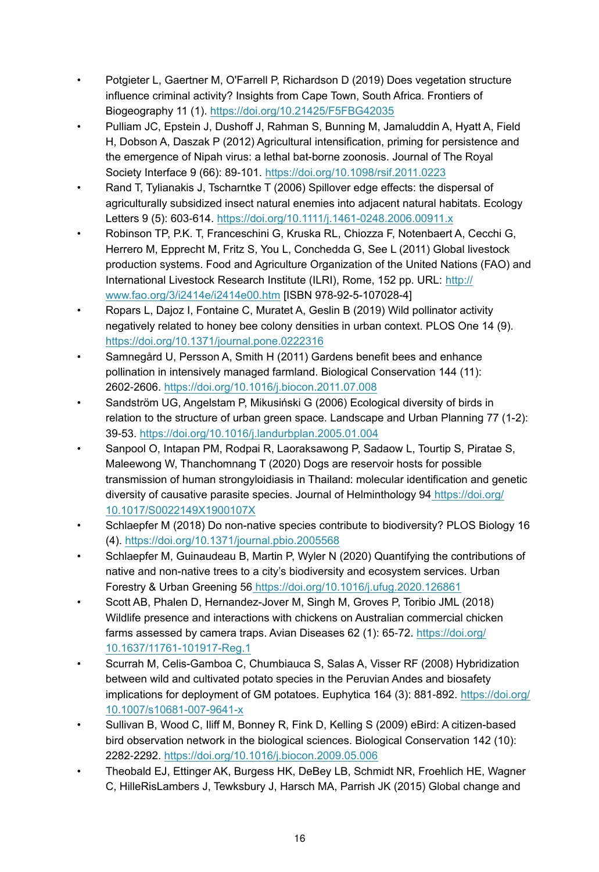- <span id="page-15-10"></span>• Potgieter L, Gaertner M, O'Farrell P, Richardson D (2019) Does vegetation structure influence criminal activity? Insights from Cape Town, South Africa. Frontiers of Biogeography 11 (1). <https://doi.org/10.21425/F5FBG42035>
- <span id="page-15-6"></span>• Pulliam JC, Epstein J, Dushoff J, Rahman S, Bunning M, Jamaluddin A, Hyatt A, Field H, Dobson A, Daszak P (2012) Agricultural intensification, priming for persistence and the emergence of Nipah virus: a lethal bat-borne zoonosis. Journal of The Royal Society Interface 9 (66): 89‑101. <https://doi.org/10.1098/rsif.2011.0223>
- <span id="page-15-0"></span>• Rand T, Tylianakis J, Tscharntke T (2006) Spillover edge effects: the dispersal of agriculturally subsidized insect natural enemies into adjacent natural habitats. Ecology Letters 9 (5): 603‑614.<https://doi.org/10.1111/j.1461-0248.2006.00911.x>
- <span id="page-15-1"></span>• Robinson TP, P.K. T, Franceschini G, Kruska RL, Chiozza F, Notenbaert A, Cecchi G, Herrero M, Epprecht M, Fritz S, You L, Conchedda G, See L (2011) Global livestock production systems. Food and Agriculture Organization of the United Nations (FAO) and International Livestock Research Institute (ILRI), Rome, 152 pp. URL: [http://](http://www.fao.org/3/i2414e/i2414e00.htm) [www.fao.org/3/i2414e/i2414e00.htm](http://www.fao.org/3/i2414e/i2414e00.htm) [ISBN 978-92-5-107028-4]
- <span id="page-15-3"></span>• Ropars L, Dajoz I, Fontaine C, Muratet A, Geslin B (2019) Wild pollinator activity negatively related to honey bee colony densities in urban context. PLOS One 14 (9). <https://doi.org/10.1371/journal.pone.0222316>
- <span id="page-15-2"></span>• Samnegård U, Persson A, Smith H (2011) Gardens benefit bees and enhance pollination in intensively managed farmland. Biological Conservation 144 (11): 2602‑2606.<https://doi.org/10.1016/j.biocon.2011.07.008>
- <span id="page-15-8"></span>• Sandström UG, Angelstam P, Mikusiński G (2006) Ecological diversity of birds in relation to the structure of urban green space. Landscape and Urban Planning 77 (1-2): 39‑53.<https://doi.org/10.1016/j.landurbplan.2005.01.004>
- <span id="page-15-5"></span>• Sanpool O, Intapan PM, Rodpai R, Laoraksawong P, Sadaow L, Tourtip S, Piratae S, Maleewong W, Thanchomnang T (2020) Dogs are reservoir hosts for possible transmission of human strongyloidiasis in Thailand: molecular identification and genetic diversity of causative parasite species. Journal of Helminthology 94 [https://doi.org/](https://doi.org/10.1017/S0022149X1900107X) [10.1017/S0022149X1900107X](https://doi.org/10.1017/S0022149X1900107X)
- <span id="page-15-13"></span>• Schlaepfer M (2018) Do non-native species contribute to biodiversity? PLOS Biology 16 (4). <https://doi.org/10.1371/journal.pbio.2005568>
- <span id="page-15-9"></span>• Schlaepfer M, Guinaudeau B, Martin P, Wyler N (2020) Quantifying the contributions of native and non-native trees to a city's biodiversity and ecosystem services. Urban Forestry & Urban Greening 56<https://doi.org/10.1016/j.ufug.2020.126861>
- <span id="page-15-7"></span>• Scott AB, Phalen D, Hernandez-Jover M, Singh M, Groves P, Toribio JML (2018) Wildlife presence and interactions with chickens on Australian commercial chicken farms assessed by camera traps. Avian Diseases 62 (1): 65-72. [https://doi.org/](https://doi.org/10.1637/11761-101917-Reg.1) [10.1637/11761-101917-Reg.1](https://doi.org/10.1637/11761-101917-Reg.1)
- <span id="page-15-4"></span>• Scurrah M, Celis-Gamboa C, Chumbiauca S, Salas A, Visser RF (2008) Hybridization between wild and cultivated potato species in the Peruvian Andes and biosafety implications for deployment of GM potatoes. Euphytica 164 (3): 881‑892. [https://doi.org/](https://doi.org/10.1007/s10681-007-9641-x) [10.1007/s10681-007-9641-x](https://doi.org/10.1007/s10681-007-9641-x)
- <span id="page-15-12"></span>• Sullivan B, Wood C, Iliff M, Bonney R, Fink D, Kelling S (2009) eBird: A citizen-based bird observation network in the biological sciences. Biological Conservation 142 (10): 2282‑2292.<https://doi.org/10.1016/j.biocon.2009.05.006>
- <span id="page-15-11"></span>• Theobald EJ, Ettinger AK, Burgess HK, DeBey LB, Schmidt NR, Froehlich HE, Wagner C, HilleRisLambers J, Tewksbury J, Harsch MA, Parrish JK (2015) Global change and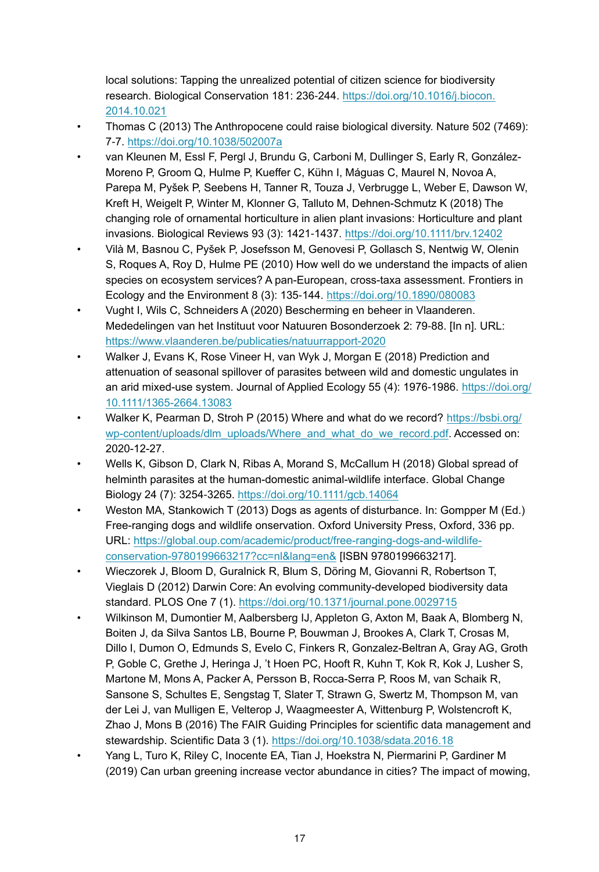local solutions: Tapping the unrealized potential of citizen science for biodiversity research. Biological Conservation 181: 236‑244. [https://doi.org/10.1016/j.biocon.](https://doi.org/10.1016/j.biocon.2014.10.021) [2014.10.021](https://doi.org/10.1016/j.biocon.2014.10.021)

- <span id="page-16-2"></span>• Thomas C (2013) The Anthropocene could raise biological diversity. Nature 502 (7469): 7‑7. <https://doi.org/10.1038/502007a>
- <span id="page-16-4"></span>• van Kleunen M, Essl F, Pergl J, Brundu G, Carboni M, Dullinger S, Early R, González-Moreno P, Groom Q, Hulme P, Kueffer C, Kühn I, Máguas C, Maurel N, Novoa A, Parepa M, Pyšek P, Seebens H, Tanner R, Touza J, Verbrugge L, Weber E, Dawson W, Kreft H, Weigelt P, Winter M, Klonner G, Talluto M, Dehnen-Schmutz K (2018) The changing role of ornamental horticulture in alien plant invasions: Horticulture and plant invasions. Biological Reviews 93 (3): 1421‑1437.<https://doi.org/10.1111/brv.12402>
- <span id="page-16-5"></span>• Vilà M, Basnou C, Pyšek P, Josefsson M, Genovesi P, Gollasch S, Nentwig W, Olenin S, Roques A, Roy D, Hulme PE (2010) How well do we understand the impacts of alien species on ecosystem services? A pan-European, cross-taxa assessment. Frontiers in Ecology and the Environment 8 (3): 135‑144. <https://doi.org/10.1890/080083>
- <span id="page-16-7"></span>• Vught I, Wils C, Schneiders A (2020) Bescherming en beheer in Vlaanderen. Mededelingen van het Instituut voor Natuuren Bosonderzoek 2: 79‑88. [In n]. URL: <https://www.vlaanderen.be/publicaties/natuurrapport-2020>
- <span id="page-16-1"></span>• Walker J, Evans K, Rose Vineer H, van Wyk J, Morgan E (2018) Prediction and attenuation of seasonal spillover of parasites between wild and domestic ungulates in an arid mixed-use system. Journal of Applied Ecology 55 (4): 1976-1986. [https://doi.org/](https://doi.org/10.1111/1365-2664.13083) [10.1111/1365-2664.13083](https://doi.org/10.1111/1365-2664.13083)
- <span id="page-16-8"></span>• Walker K, Pearman D, Stroh P (2015) Where and what do we record? [https://bsbi.org/](https://bsbi.org/wp-content/uploads/dlm_uploads/Where_and_what_do_we_record.pdf) [wp-content/uploads/dlm\\_uploads/Where\\_and\\_what\\_do\\_we\\_record.pdf](https://bsbi.org/wp-content/uploads/dlm_uploads/Where_and_what_do_we_record.pdf). Accessed on: 2020-12-27.
- <span id="page-16-3"></span>• Wells K, Gibson D, Clark N, Ribas A, Morand S, McCallum H (2018) Global spread of helminth parasites at the human-domestic animal-wildlife interface. Global Change Biology 24 (7): 3254‑3265. <https://doi.org/10.1111/gcb.14064>
- <span id="page-16-0"></span>• Weston MA, Stankowich T (2013) Dogs as agents of disturbance. In: Gompper M (Ed.) Free-ranging dogs and wildlife onservation. Oxford University Press, Oxford, 336 pp. URL: [https://global.oup.com/academic/product/free-ranging-dogs-and-wildlife](https://global.oup.com/academic/product/free-ranging-dogs-and-wildlife-conservation-9780199663217?cc=nl&lang=en&)[conservation-9780199663217?cc=nl&lang=en&](https://global.oup.com/academic/product/free-ranging-dogs-and-wildlife-conservation-9780199663217?cc=nl&lang=en&) [ISBN 9780199663217].
- <span id="page-16-9"></span>• Wieczorek J, Bloom D, Guralnick R, Blum S, Döring M, Giovanni R, Robertson T, Vieglais D (2012) Darwin Core: An evolving community-developed biodiversity data standard. PLOS One 7 (1). <https://doi.org/10.1371/journal.pone.0029715>
- <span id="page-16-10"></span>• Wilkinson M, Dumontier M, Aalbersberg IJ, Appleton G, Axton M, Baak A, Blomberg N, Boiten J, da Silva Santos LB, Bourne P, Bouwman J, Brookes A, Clark T, Crosas M, Dillo I, Dumon O, Edmunds S, Evelo C, Finkers R, Gonzalez-Beltran A, Gray AG, Groth P, Goble C, Grethe J, Heringa J, 't Hoen PC, Hooft R, Kuhn T, Kok R, Kok J, Lusher S, Martone M, Mons A, Packer A, Persson B, Rocca-Serra P, Roos M, van Schaik R, Sansone S, Schultes E, Sengstag T, Slater T, Strawn G, Swertz M, Thompson M, van der Lei J, van Mulligen E, Velterop J, Waagmeester A, Wittenburg P, Wolstencroft K, Zhao J, Mons B (2016) The FAIR Guiding Principles for scientific data management and stewardship. Scientific Data 3 (1).<https://doi.org/10.1038/sdata.2016.18>
- <span id="page-16-6"></span>• Yang L, Turo K, Riley C, Inocente EA, Tian J, Hoekstra N, Piermarini P, Gardiner M (2019) Can urban greening increase vector abundance in cities? The impact of mowing,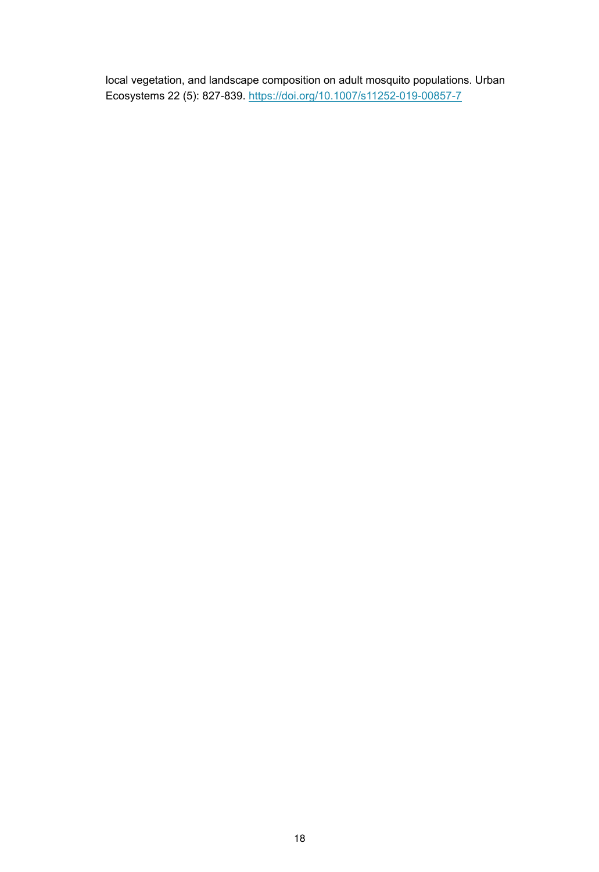local vegetation, and landscape composition on adult mosquito populations. Urban Ecosystems 22 (5): 827‑839.<https://doi.org/10.1007/s11252-019-00857-7>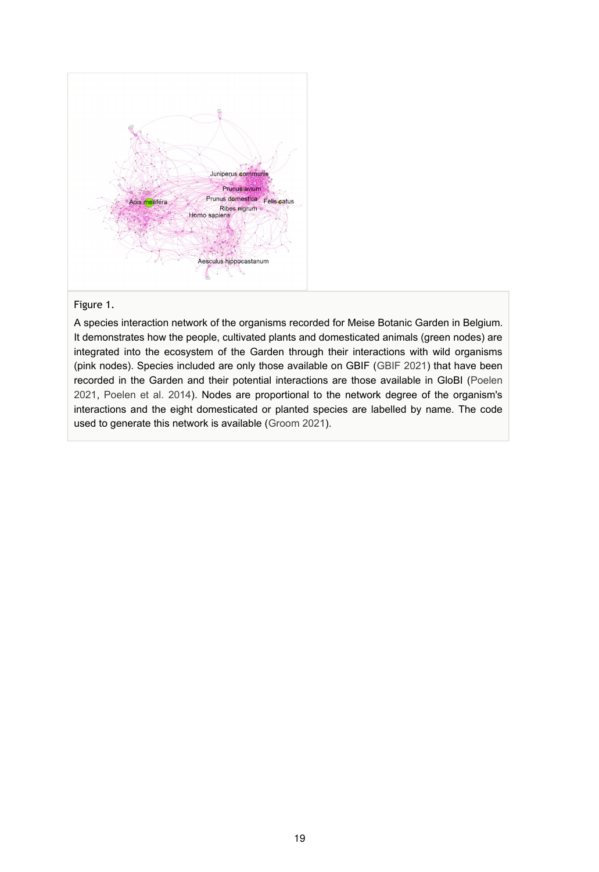<span id="page-18-0"></span>

#### Figure 1.

A species interaction network of the organisms recorded for Meise Botanic Garden in Belgium. It demonstrates how the people, cultivated plants and domesticated animals (green nodes) are integrated into the ecosystem of the Garden through their interactions with wild organisms (pink nodes). Species included are only those available on GBIF ([GBIF 2021](#page-12-12)) that have been recorded in the Garden and their potential interactions are those available in GloBI [\(Poelen](#page-14-11) [2021](#page-14-11), [Poelen et al. 2014](#page-14-12)). Nodes are proportional to the network degree of the organism's interactions and the eight domesticated or planted species are labelled by name. The code used to generate this network is available [\(Groom 2021\)](#page-12-13).